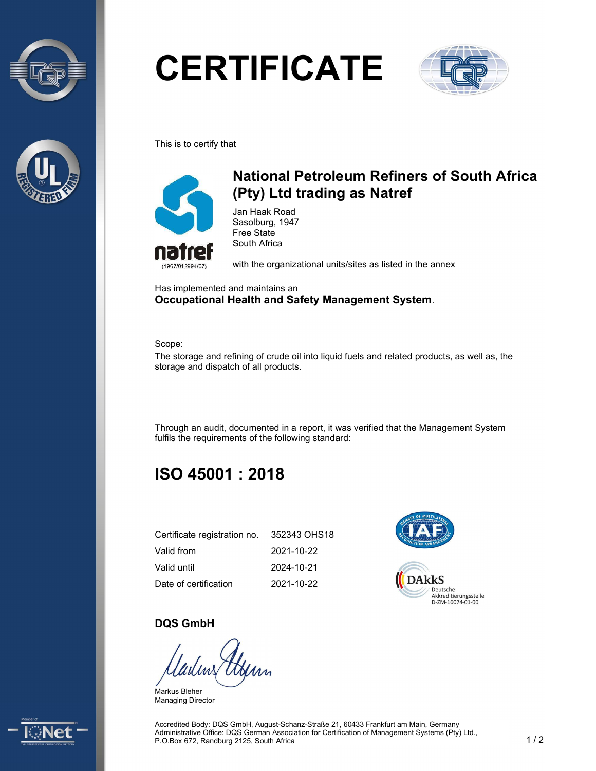



# **CERTIFICATE**



This is to certify that



## National Petroleum Refiners of South Africa (Pty) Ltd trading as Natref

Jan Haak Road Sasolburg, 1947 Free State South Africa

with the organizational units/sites as listed in the annex

Has implemented and maintains an Occupational Health and Safety Management System.

Scope:

The storage and refining of crude oil into liquid fuels and related products, as well as, the storage and dispatch of all products.

Through an audit, documented in a report, it was verified that the Management System fulfils the requirements of the following standard:

# ISO 45001 : 2018

| Certificate registration no. | 352343 OHS18 |
|------------------------------|--------------|
| Valid from                   | 2021-10-22   |
| Valid until                  | 2024-10-21   |
| Date of certification        | 2021-10-22   |



#### DQS GmbH

Markus Bleher Managing Director



Accredited Body: DQS GmbH, August-Schanz-Straße 21, 60433 Frankfurt am Main, Germany Administrative Office: DQS German Association for Certification of Management Systems (Pty) Ltd., P.O.Box 672, Randburg 2125, South Africa 1 / 2